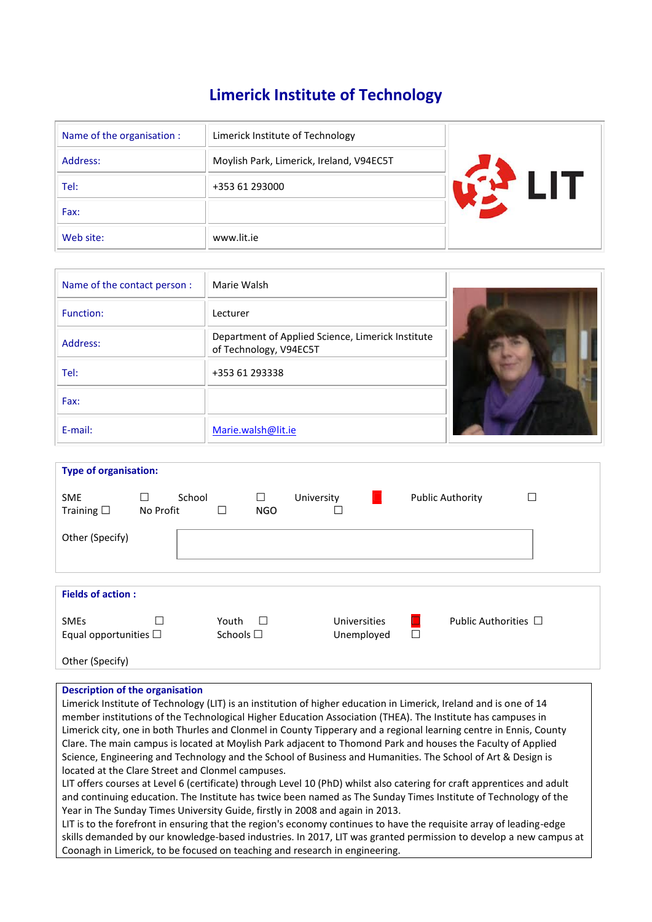# **Limerick Institute of Technology**

| Name of the organisation : | Limerick Institute of Technology         |  |
|----------------------------|------------------------------------------|--|
| Address:                   | Moylish Park, Limerick, Ireland, V94EC5T |  |
| Tel:                       | +353 61 293000                           |  |
| Fax:                       |                                          |  |
| Web site:                  | www.lit.ie                               |  |

| Name of the contact person: | Marie Walsh                                                                 |  |
|-----------------------------|-----------------------------------------------------------------------------|--|
| Function:                   | Lecturer                                                                    |  |
| Address:                    | Department of Applied Science, Limerick Institute<br>of Technology, V94EC5T |  |
| Tel:                        | +353 61 293338                                                              |  |
| Fax:                        |                                                                             |  |
| E-mail:                     | Marie.walsh@lit.ie                                                          |  |

| <b>Type of organisation:</b>              |                     |        |                            |                 |            |                            |                  |                           |        |
|-------------------------------------------|---------------------|--------|----------------------------|-----------------|------------|----------------------------|------------------|---------------------------|--------|
| <b>SME</b><br>Training $\square$          | $\Box$<br>No Profit | School | П                          | □<br><b>NGO</b> | University |                            |                  | <b>Public Authority</b>   | $\Box$ |
| Other (Specify)                           |                     |        |                            |                 |            |                            |                  |                           |        |
| <b>Fields of action:</b>                  |                     |        |                            |                 |            |                            |                  |                           |        |
|                                           |                     |        |                            |                 |            |                            |                  |                           |        |
| <b>SMEs</b><br>Equal opportunities $\Box$ |                     |        | Youth<br>Schools $\square$ | $\Box$          |            | Universities<br>Unemployed | $\Box$<br>$\Box$ | Public Authorities $\Box$ |        |
| Other (Specify)                           |                     |        |                            |                 |            |                            |                  |                           |        |

# **Description of the organisation**

Limerick Institute of Technology (LIT) is an institution of higher education in Limerick, Ireland and is one of 14 member institutions of the Technological Higher Education Association (THEA). The Institute has campuses in Limerick city, one in both Thurles and Clonmel in County Tipperary and a regional learning centre in Ennis, County Clare. The main campus is located at Moylish Park adjacent to Thomond Park and houses the Faculty of Applied Science, Engineering and Technology and the School of Business and Humanities. The School of Art & Design is located at the Clare Street and Clonmel campuses.

LIT offers courses at Level 6 (certificate) through Level 10 (PhD) whilst also catering for craft apprentices and adult and continuing education. The Institute has twice been named as The Sunday Times Institute of Technology of the Year in The Sunday Times University Guide, firstly in 2008 and again in 2013.

LIT is to the forefront in ensuring that the region's economy continues to have the requisite array of leading-edge skills demanded by our knowledge-based industries. In 2017, LIT was granted permission to develop a new campus at Coonagh in Limerick, to be focused on teaching and research in engineering.